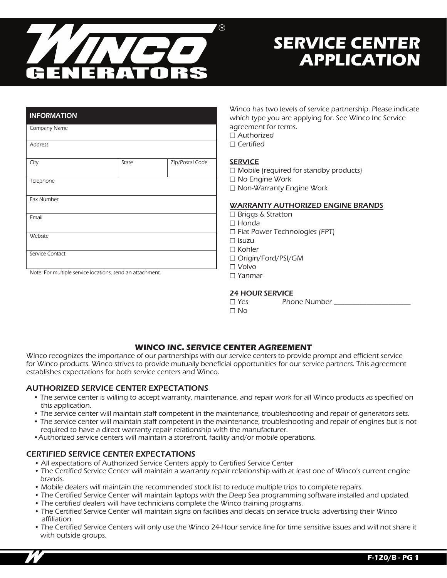

# **SERVICE CENTER APPLICATION**

| <b>INFORMATION</b> |       |                 |
|--------------------|-------|-----------------|
| Company Name       |       |                 |
| <b>Address</b>     |       |                 |
| City               | State | Zip/Postal Code |
| Telephone          |       |                 |
| <b>Fax Number</b>  |       |                 |
| Email              |       |                 |
| Website            |       |                 |
| Service Contact    |       |                 |

Note: For multiple service locations, send an attachment.

Winco has two levels of service partnership. Please indicate which type you are applying for. See Winco Inc Service agreement for terms. ☐ Authorized ☐ Certified

#### **SERVICE**

☐ Mobile (required for standby products) ☐ No Engine Work ☐ Non-Warranty Engine Work

#### WARRANTY AUTHORIZED ENGINE BRANDS

☐ Briggs & Stratton ☐ Honda ☐ Fiat Power Technologies (FPT) ☐ Isuzu ☐ Kohler ☐ Origin/Ford/PSI/GM ☐ Volvo ☐ Yanmar

# 24 HOUR SERVICE

□ Yes Phone Number

☐ No

# **WINCO INC. SERVICE CENTER AGREEMENT**

Winco recognizes the importance of our partnerships with our service centers to provide prompt and efficient service for Winco products. Winco strives to provide mutually beneficial opportunities for our service partners. This agreement establishes expectations for both service centers and Winco.

#### AUTHORIZED SERVICE CENTER EXPECTATIONS

- The service center is willing to accept warranty, maintenance, and repair work for all Winco products as specified on this application.
- The service center will maintain staff competent in the maintenance, troubleshooting and repair of generators sets.
- The service center will maintain staff competent in the maintenance, troubleshooting and repair of engines but is not required to have a direct warranty repair relationship with the manufacturer.
- •Authorized service centers will maintain a storefront, facility and/or mobile operations.

# CERTIFIED SERVICE CENTER EXPECTATIONS

- All expectations of Authorized Service Centers apply to Certified Service Center
- The Certified Service Center will maintain a warranty repair relationship with at least one of Winco's current engine brands.
- Mobile dealers will maintain the recommended stock list to reduce multiple trips to complete repairs.
- The Certified Service Center will maintain laptops with the Deep Sea programming software installed and updated.
- The certified dealers will have technicians complete the Winco training programs.
- The Certified Service Center will maintain signs on facilities and decals on service trucks advertising their Winco affiliation.
- The Certified Service Centers will only use the Winco 24-Hour service line for time sensitive issues and will not share it with outside groups.